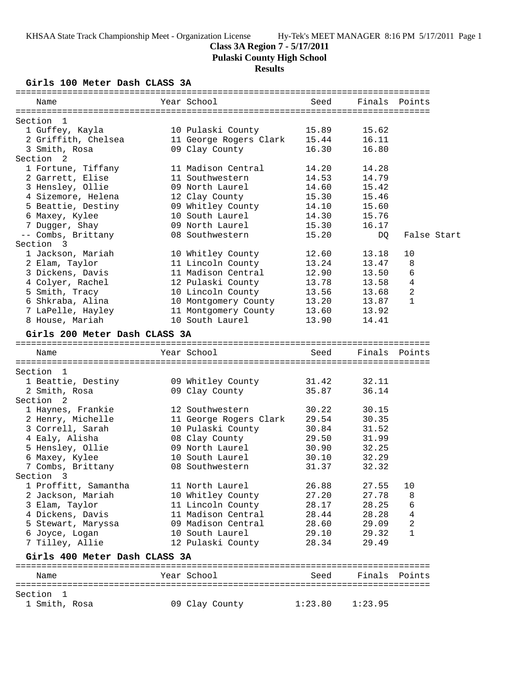## **Class 3A Region 7 - 5/17/2011**

**Pulaski County High School**

# **Results**

**Girls 100 Meter Dash CLASS 3A**

| Name                                | Year School                        | Seed           | Finals         | Points        |
|-------------------------------------|------------------------------------|----------------|----------------|---------------|
|                                     |                                    |                |                |               |
| Section 1<br>1 Guffey, Kayla        | 10 Pulaski County                  | 15.89          | 15.62          |               |
| 2 Griffith, Chelsea                 | 11 George Rogers Clark             | 15.44          | 16.11          |               |
| 3 Smith, Rosa                       | 09 Clay County                     | 16.30          | 16.80          |               |
| Section <sub>2</sub>                |                                    |                |                |               |
| 1 Fortune, Tiffany                  | 11 Madison Central                 | 14.20          | 14.28          |               |
| 2 Garrett, Elise                    | 11 Southwestern                    | 14.53          | 14.79          |               |
| 3 Hensley, Ollie                    | 09 North Laurel                    | 14.60          | 15.42          |               |
| 4 Sizemore, Helena                  | 12 Clay County                     | 15.30          | 15.46          |               |
| 5 Beattie, Destiny                  | 09 Whitley County                  | 14.10          | 15.60          |               |
| 6 Maxey, Kylee                      | 10 South Laurel                    | 14.30          | 15.76          |               |
| 7 Dugger, Shay                      | 09 North Laurel                    | 15.30          | 16.17          |               |
| -- Combs, Brittany                  | 08 Southwestern                    | 15.20          | DQ.            | False Start   |
| Section 3                           |                                    |                |                |               |
| 1 Jackson, Mariah                   | 10 Whitley County                  | 12.60          | 13.18          | 10            |
| 2 Elam, Taylor                      | 11 Lincoln County                  | 13.24          | 13.47          | 8             |
| 3 Dickens, Davis                    | 11 Madison Central                 | 12.90          | 13.50          | 6             |
| 4 Colyer, Rachel                    | 12 Pulaski County                  | 13.78          | 13.58          | 4             |
| 5 Smith, Tracy                      | 10 Lincoln County                  | 13.56          | 13.68          | 2             |
| 6 Shkraba, Alina                    | 10 Montgomery County               | 13.20          | 13.87          | $\mathbf{1}$  |
| 7 LaPelle, Hayley                   | 11 Montgomery County               | 13.60          | 13.92          |               |
| 8 House, Mariah                     | 10 South Laurel                    | 13.90          | 14.41          |               |
| Girls 200 Meter Dash CLASS 3A       |                                    |                |                |               |
| Name                                | Year School                        | Seed           |                | Finals Points |
|                                     |                                    |                |                |               |
| Section 1                           |                                    |                |                |               |
| 1 Beattie, Destiny                  | 09 Whitley County                  | 31.42          | 32.11          |               |
| 2 Smith, Rosa                       | 09 Clay County                     | 35.87          | 36.14          |               |
| Section <sub>2</sub>                |                                    |                |                |               |
| 1 Haynes, Frankie                   | 12 Southwestern                    | 30.22          | 30.15          |               |
| 2 Henry, Michelle                   | 11 George Rogers Clark             | 29.54          | 30.35          |               |
| 3 Correll, Sarah                    | 10 Pulaski County                  | 30.84          | 31.52          |               |
| 4 Ealy, Alisha                      | 08 Clay County                     | 29.50          | 31.99          |               |
| 5 Hensley, Ollie                    | 09 North Laurel<br>10 South Laurel | 30.90          | 32.25<br>32.29 |               |
| 6 Maxey, Kylee<br>7 Combs, Brittany | 08 Southwestern                    | 30.10<br>31.37 | 32.32          |               |
| Section 3                           |                                    |                |                |               |
| 1 Proffitt, Samantha                | 11 North Laurel                    | 26.88          | 27.55          | 10            |
| 2 Jackson, Mariah                   | 10 Whitley County                  | 27.20          | 27.78          | 8             |
| 3 Elam, Taylor                      | 11 Lincoln County                  | 28.17          | 28.25          | 6             |
| 4 Dickens, Davis                    | 11 Madison Central                 | 28.44          | 28.28          | 4             |
| 5 Stewart, Maryssa                  | 09 Madison Central                 | 28.60          | 29.09          | 2             |
| 6 Joyce, Logan                      | 10 South Laurel                    | 29.10          | 29.32          | $\mathbf{1}$  |
| 7 Tilley, Allie                     | 12 Pulaski County                  | 28.34          | 29.49          |               |
| Girls 400 Meter Dash CLASS 3A       |                                    |                |                |               |
| Name                                | Year School                        | Seed           |                | Finals Points |
|                                     |                                    |                |                |               |
| Section 1                           |                                    |                |                |               |
| 1 Smith, Rosa                       | 09 Clay County                     | 1:23.80        | 1:23.95        |               |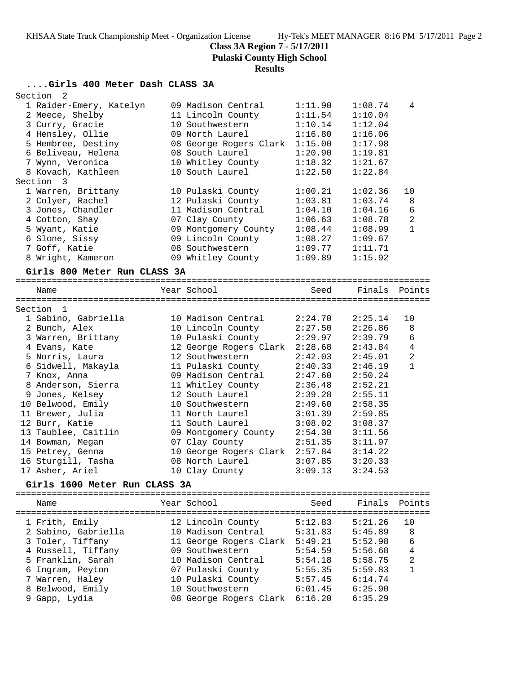**Class 3A Region 7 - 5/17/2011**

**Pulaski County High School**

# **Results**

## **....Girls 400 Meter Dash CLASS 3A**

| Section<br>2                                                                                                                                                                                                                                                                                                                                        |                                                                                                                                                                                                                                                                                                                      |                                                                                                                                                                   |                                                                                                                                                                   |                                        |
|-----------------------------------------------------------------------------------------------------------------------------------------------------------------------------------------------------------------------------------------------------------------------------------------------------------------------------------------------------|----------------------------------------------------------------------------------------------------------------------------------------------------------------------------------------------------------------------------------------------------------------------------------------------------------------------|-------------------------------------------------------------------------------------------------------------------------------------------------------------------|-------------------------------------------------------------------------------------------------------------------------------------------------------------------|----------------------------------------|
| 1 Raider-Emery, Katelyn<br>2 Meece, Shelby<br>3 Curry, Gracie<br>4 Hensley, Ollie<br>5 Hembree, Destiny<br>6 Beliveau, Helena<br>7 Wynn, Veronica<br>8 Kovach, Kathleen<br>Section<br>$\overline{\mathbf{3}}$<br>1 Warren, Brittany<br>2 Colyer, Rachel<br>3 Jones, Chandler<br>4 Cotton, Shay<br>5 Wyant, Katie<br>6 Slone, Sissy<br>7 Goff, Katie | 09 Madison Central<br>11 Lincoln County<br>10 Southwestern<br>09 North Laurel<br>08 George Rogers Clark<br>08 South Laurel<br>10 Whitley County<br>10 South Laurel<br>10 Pulaski County<br>12 Pulaski County<br>11 Madison Central<br>07 Clay County<br>09 Montgomery County<br>09 Lincoln County<br>08 Southwestern | 1:11.90<br>1:11.54<br>1:10.14<br>1:16.80<br>1:15.00<br>1:20.90<br>1:18.32<br>1:22.50<br>1:00.21<br>1:03.81<br>1:04.10<br>1:06.63<br>1:08.44<br>1:08.27<br>1:09.77 | 1:08.74<br>1:10.04<br>1:12.04<br>1:16.06<br>1:17.98<br>1:19.81<br>1:21.67<br>1:22.84<br>1:02.36<br>1:03.74<br>1:04.16<br>1:08.78<br>1:08.99<br>1:09.67<br>1:11.71 | 4<br>10<br>8<br>6<br>2<br>$\mathbf{1}$ |
| 8 Wright, Kameron                                                                                                                                                                                                                                                                                                                                   | 09 Whitley County                                                                                                                                                                                                                                                                                                    | 1:09.89                                                                                                                                                           | 1:15.92                                                                                                                                                           |                                        |
| Girls 800 Meter Run CLASS 3A                                                                                                                                                                                                                                                                                                                        |                                                                                                                                                                                                                                                                                                                      |                                                                                                                                                                   |                                                                                                                                                                   |                                        |
| Name                                                                                                                                                                                                                                                                                                                                                | Year School                                                                                                                                                                                                                                                                                                          | Seed                                                                                                                                                              | Finals                                                                                                                                                            | Points                                 |
|                                                                                                                                                                                                                                                                                                                                                     |                                                                                                                                                                                                                                                                                                                      |                                                                                                                                                                   |                                                                                                                                                                   |                                        |
| Section 1                                                                                                                                                                                                                                                                                                                                           |                                                                                                                                                                                                                                                                                                                      |                                                                                                                                                                   |                                                                                                                                                                   |                                        |
| 1 Sabino, Gabriella                                                                                                                                                                                                                                                                                                                                 | 10 Madison Central                                                                                                                                                                                                                                                                                                   | 2:24.70                                                                                                                                                           | 2:25.14                                                                                                                                                           | 10                                     |
| 2 Bunch, Alex                                                                                                                                                                                                                                                                                                                                       | 10 Lincoln County                                                                                                                                                                                                                                                                                                    | 2:27.50                                                                                                                                                           | 2:26.86                                                                                                                                                           | 8                                      |
| 3 Warren, Brittany                                                                                                                                                                                                                                                                                                                                  | 10 Pulaski County                                                                                                                                                                                                                                                                                                    | 2:29.97                                                                                                                                                           | 2:39.79                                                                                                                                                           | 6                                      |
| 4 Evans, Kate                                                                                                                                                                                                                                                                                                                                       | 12 George Rogers Clark                                                                                                                                                                                                                                                                                               | 2:28.68                                                                                                                                                           | 2:43.84                                                                                                                                                           | 4                                      |
| 5 Norris, Laura                                                                                                                                                                                                                                                                                                                                     | 12 Southwestern                                                                                                                                                                                                                                                                                                      | 2:42.03                                                                                                                                                           | 2:45.01                                                                                                                                                           | 2                                      |
| 6 Sidwell, Makayla                                                                                                                                                                                                                                                                                                                                  | 11 Pulaski County                                                                                                                                                                                                                                                                                                    | 2:40.33                                                                                                                                                           | 2:46.19                                                                                                                                                           | $\mathbf{1}$                           |
| 7 Knox, Anna                                                                                                                                                                                                                                                                                                                                        | 09 Madison Central                                                                                                                                                                                                                                                                                                   | 2:47.60                                                                                                                                                           | 2:50.24                                                                                                                                                           |                                        |
| 8 Anderson, Sierra                                                                                                                                                                                                                                                                                                                                  | 11 Whitley County                                                                                                                                                                                                                                                                                                    | 2:36.48                                                                                                                                                           | 2:52.21                                                                                                                                                           |                                        |
| 9 Jones, Kelsey                                                                                                                                                                                                                                                                                                                                     | 12 South Laurel                                                                                                                                                                                                                                                                                                      | 2:39.28                                                                                                                                                           | 2:55.11                                                                                                                                                           |                                        |
| 10 Belwood, Emily                                                                                                                                                                                                                                                                                                                                   | 10 Southwestern                                                                                                                                                                                                                                                                                                      | 2:49.60                                                                                                                                                           | 2:58.35                                                                                                                                                           |                                        |
| 11 Brewer, Julia                                                                                                                                                                                                                                                                                                                                    | 11 North Laurel                                                                                                                                                                                                                                                                                                      | 3:01.39                                                                                                                                                           | 2:59.85                                                                                                                                                           |                                        |
| 12 Burr, Katie                                                                                                                                                                                                                                                                                                                                      | 11 South Laurel                                                                                                                                                                                                                                                                                                      | 3:08.02                                                                                                                                                           | 3:08.37                                                                                                                                                           |                                        |
| 13 Taublee, Caitlin                                                                                                                                                                                                                                                                                                                                 | 09 Montgomery County                                                                                                                                                                                                                                                                                                 | 2:54.30                                                                                                                                                           | 3:11.56                                                                                                                                                           |                                        |
| 14 Bowman, Megan                                                                                                                                                                                                                                                                                                                                    | 07 Clay County                                                                                                                                                                                                                                                                                                       | 2:51.35                                                                                                                                                           | 3:11.97                                                                                                                                                           |                                        |
| 15 Petrey, Genna                                                                                                                                                                                                                                                                                                                                    | 10 George Rogers Clark 2:57.84                                                                                                                                                                                                                                                                                       |                                                                                                                                                                   | 3:14.22                                                                                                                                                           |                                        |
| 16 Sturgill, Tasha                                                                                                                                                                                                                                                                                                                                  | 08 North Laurel                                                                                                                                                                                                                                                                                                      | 3:07.85                                                                                                                                                           | 3:20.33                                                                                                                                                           |                                        |
| 17 Asher, Ariel                                                                                                                                                                                                                                                                                                                                     | 10 Clay County                                                                                                                                                                                                                                                                                                       | 3:09.13                                                                                                                                                           | 3:24.53                                                                                                                                                           |                                        |
| Girls 1600 Meter Run CLASS 3A                                                                                                                                                                                                                                                                                                                       |                                                                                                                                                                                                                                                                                                                      |                                                                                                                                                                   |                                                                                                                                                                   |                                        |
| Name                                                                                                                                                                                                                                                                                                                                                | Year School                                                                                                                                                                                                                                                                                                          | Seed                                                                                                                                                              | Finals                                                                                                                                                            | Points                                 |
| =====================================                                                                                                                                                                                                                                                                                                               |                                                                                                                                                                                                                                                                                                                      |                                                                                                                                                                   |                                                                                                                                                                   |                                        |
| 1 Frith, Emily                                                                                                                                                                                                                                                                                                                                      | 12 Lincoln County                                                                                                                                                                                                                                                                                                    | 5:12.83                                                                                                                                                           | 5:21.26                                                                                                                                                           | 10                                     |
| 2 Sabino, Gabriella                                                                                                                                                                                                                                                                                                                                 | 10 Madison Central                                                                                                                                                                                                                                                                                                   | 5:31.83                                                                                                                                                           | 5:45.89                                                                                                                                                           | 8                                      |
| 3 Toler, Tiffany                                                                                                                                                                                                                                                                                                                                    | 11 George Rogers Clark                                                                                                                                                                                                                                                                                               | 5:49.21                                                                                                                                                           | 5:52.98                                                                                                                                                           | 6                                      |
| 4 Russell, Tiffany                                                                                                                                                                                                                                                                                                                                  | 09 Southwestern                                                                                                                                                                                                                                                                                                      | 5:54.59                                                                                                                                                           | 5:56.68                                                                                                                                                           | 4                                      |
| 5 Franklin, Sarah                                                                                                                                                                                                                                                                                                                                   | 10 Madison Central                                                                                                                                                                                                                                                                                                   | 5:54.18                                                                                                                                                           | 5:58.75                                                                                                                                                           | 2                                      |
| 6 Ingram, Peyton                                                                                                                                                                                                                                                                                                                                    | 07 Pulaski County                                                                                                                                                                                                                                                                                                    | 5:55.35                                                                                                                                                           | 5:59.83                                                                                                                                                           | $\mathbf{1}$                           |
| 7 Warren, Haley                                                                                                                                                                                                                                                                                                                                     | 10 Pulaski County                                                                                                                                                                                                                                                                                                    | 5:57.45                                                                                                                                                           | 6:14.74                                                                                                                                                           |                                        |
| 8 Belwood, Emily                                                                                                                                                                                                                                                                                                                                    | 10 Southwestern                                                                                                                                                                                                                                                                                                      | 6:01.45                                                                                                                                                           | 6:25.90                                                                                                                                                           |                                        |
| 9 Gapp, Lydia                                                                                                                                                                                                                                                                                                                                       | 08 George Rogers Clark                                                                                                                                                                                                                                                                                               | 6:16.20                                                                                                                                                           | 6:35.29                                                                                                                                                           |                                        |
|                                                                                                                                                                                                                                                                                                                                                     |                                                                                                                                                                                                                                                                                                                      |                                                                                                                                                                   |                                                                                                                                                                   |                                        |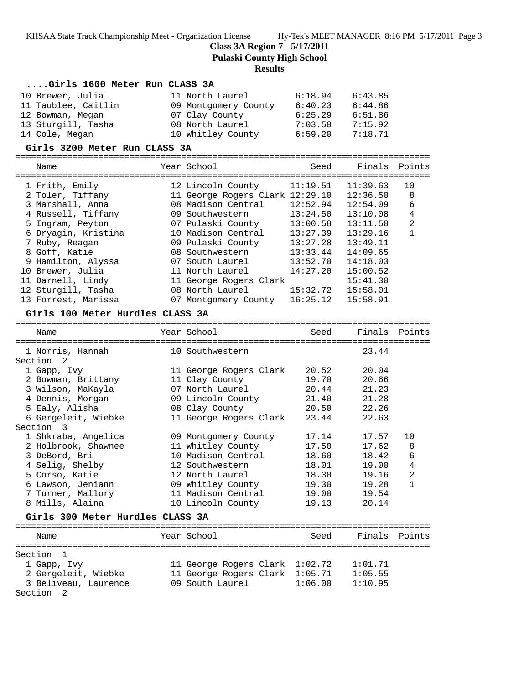**Class 3A Region 7 - 5/17/2011**

**Pulaski County High School**

#### **Results**

### **....Girls 1600 Meter Run CLASS 3A**

| 10 Brewer, Julia    | 11 North Laurel      | 6:18.94 | 6:43.85 |
|---------------------|----------------------|---------|---------|
| 11 Taublee, Caitlin | 09 Montgomery County | 6:40.23 | 6:44.86 |
| 12 Bowman, Megan    | 07 Clay County       | 6:25.29 | 6:51.86 |
| 13 Sturgill, Tasha  | 08 North Laurel      | 7:03.50 | 7:15.92 |
| 14 Cole, Megan      | 10 Whitley County    | 6:59.20 | 7:18.71 |

#### **Girls 3200 Meter Run CLASS 3A**

| Name                | Year School                     | Seed     | Finals Points |                |
|---------------------|---------------------------------|----------|---------------|----------------|
| 1 Frith, Emily      | 12 Lincoln County               | 11:19.51 | 11:39.63      | 10             |
| 2 Toler, Tiffany    | 11 George Rogers Clark 12:29.10 |          | 12:36.50      | 8              |
| 3 Marshall, Anna    | 08 Madison Central              | 12:52.94 | 12:54.09      | 6              |
| 4 Russell, Tiffany  | 09 Southwestern                 | 13:24.50 | 13:10.08      | 4              |
| 5 Ingram, Peyton    | 07 Pulaski County               | 13:00.58 | 13:11.50      | $\overline{2}$ |
| 6 Dryagin, Kristina | 10 Madison Central              | 13:27.39 | 13:29.16      |                |
| 7 Ruby, Reagan      | 09 Pulaski County               | 13:27.28 | 13:49.11      |                |
| 8 Goff, Katie       | 08 Southwestern                 | 13:33.44 | 14:09.65      |                |
| 9 Hamilton, Alyssa  | 07 South Laurel                 | 13:52.70 | 14:18.03      |                |
| 10 Brewer, Julia    | 11 North Laurel                 | 14:27.20 | 15:00.52      |                |
| 11 Darnell, Lindy   | 11 George Rogers Clark          |          | 15:41.30      |                |
| 12 Sturgill, Tasha  | 08 North Laurel                 | 15:32.72 | 15:58.01      |                |
| 13 Forrest, Marissa | 07 Montgomery County            | 16:25.12 | 15:58.91      |                |

#### **Girls 100 Meter Hurdles CLASS 3A**

================================================================================ Name Year School Seed Finals Points ================================================================================ 1 Norris, Hannah 10 Southwestern 23.44 Section 2 1 Gapp, Ivy 11 George Rogers Clark 20.52 20.04 2 Bowman, Brittany 11 Clay County 19.70 20.66 3 Wilson, MaKayla 07 North Laurel 20.44 21.23 4 Dennis, Morgan 09 Lincoln County 21.40 21.28 5 Ealy, Alisha 08 Clay County 20.50 22.26 6 Gergeleit, Wiebke 11 George Rogers Clark 23.44 22.63 Section 3 1 Shkraba, Angelica 09 Montgomery County 17.14 17.57 10 2 Holbrook, Shawnee 11 Whitley County 17.50 17.62 8 3 DeBord, Bri 10 Madison Central 18.60 18.42 6 4 Selig, Shelby 12 Southwestern 18.01 19.00 4 5 Corso, Katie 12 North Laurel 18.30 19.16 2 6 Lawson, Jeniann 09 Whitley County 19.30 19.28 1 7 Turner, Mallory 11 Madison Central 19.00 19.54 8 Mills, Alaina 10 Lincoln County 19.13 20.14

## **Girls 300 Meter Hurdles CLASS 3A**

| Name                 | Year School                    | Seed    | Finals Points |  |
|----------------------|--------------------------------|---------|---------------|--|
| Section 1            |                                |         |               |  |
| 1 Gapp, Ivy          | 11 George Rogers Clark 1:02.72 |         | 1:01.71       |  |
| 2 Gergeleit, Wiebke  | 11 George Rogers Clark 1:05.71 |         | 1:05.55       |  |
| 3 Beliveau, Laurence | 09 South Laurel                | 1:06.00 | 1:10.95       |  |
| Section 2            |                                |         |               |  |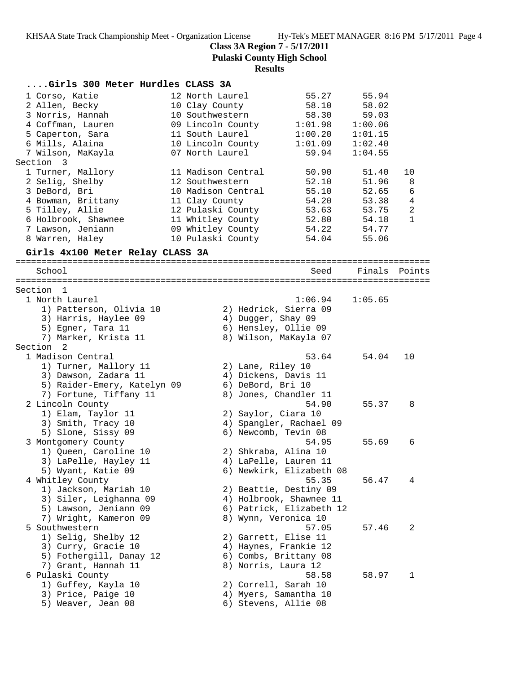**Class 3A Region 7 - 5/17/2011**

**Pulaski County High School**

### **Results**

| Girls 300 Meter Hurdles CLASS 3A |                    |                          |               |                |
|----------------------------------|--------------------|--------------------------|---------------|----------------|
| 1 Corso, Katie                   | 12 North Laurel    | 55.27                    | 55.94         |                |
| 2 Allen, Becky                   | 10 Clay County     | 58.10                    | 58.02         |                |
| 3 Norris, Hannah                 | 10 Southwestern    | 58.30                    | 59.03         |                |
| 4 Coffman, Lauren                | 09 Lincoln County  | 1:01.98                  | 1:00.06       |                |
| 5 Caperton, Sara                 | 11 South Laurel    | 1:00.20                  | 1:01.15       |                |
| 6 Mills, Alaina                  | 10 Lincoln County  | 1:01.09                  | 1:02.40       |                |
| 7 Wilson, MaKayla                | 07 North Laurel    | 59.94                    | 1:04.55       |                |
| Section 3                        |                    |                          |               |                |
| 1 Turner, Mallory                | 11 Madison Central | 50.90                    | 51.40         | 10             |
| 2 Selig, Shelby                  | 12 Southwestern    | 52.10                    | 51.96         | 8              |
| 3 DeBord, Bri                    | 10 Madison Central | 55.10                    | 52.65         | 6              |
| 4 Bowman, Brittany               | 11 Clay County     | 54.20                    | 53.38         | 4              |
| 5 Tilley, Allie                  | 12 Pulaski County  | 53.63                    | 53.75         | $\overline{a}$ |
| 6 Holbrook, Shawnee              | 11 Whitley County  | 52.80                    | 54.18         | $\mathbf{1}$   |
| 7 Lawson, Jeniann                | 09 Whitley County  | 54.22                    | 54.77         |                |
| 8 Warren, Haley                  | 10 Pulaski County  | 54.04                    | 55.06         |                |
|                                  |                    |                          |               |                |
| Girls 4x100 Meter Relay CLASS 3A |                    |                          |               |                |
| School                           |                    | Seed                     | Finals Points |                |
|                                  |                    |                          |               |                |
| Section 1                        |                    |                          |               |                |
| 1 North Laurel                   |                    | 1:06.94                  | 1:05.65       |                |
| 1) Patterson, Olivia 10          |                    | 2) Hedrick, Sierra 09    |               |                |
| 3) Harris, Haylee 09             |                    | 4) Dugger, Shay 09       |               |                |
| 5) Egner, Tara 11                |                    | 6) Hensley, Ollie 09     |               |                |
| 7) Marker, Krista 11             |                    | 8) Wilson, MaKayla 07    |               |                |
| Section 2                        |                    |                          |               |                |
| 1 Madison Central                |                    | 53.64                    | 54.04         | 10             |
| 1) Turner, Mallory 11            |                    | 2) Lane, Riley 10        |               |                |
| 3) Dawson, Zadara 11             |                    | 4) Dickens, Davis 11     |               |                |
| 5) Raider-Emery, Katelyn 09      |                    | 6) DeBord, Bri 10        |               |                |
| 7) Fortune, Tiffany 11           |                    | 8) Jones, Chandler 11    |               |                |
| 2 Lincoln County                 |                    | 54.90                    | 55.37         | 8              |
| 1) Elam, Taylor 11               |                    | 2) Saylor, Ciara 10      |               |                |
| 3) Smith, Tracy 10               |                    | 4) Spangler, Rachael 09  |               |                |
| 5) Slone, Sissy 09               |                    | 6) Newcomb, Tevin 08     |               |                |
| 3 Montgomery County              |                    | 54.95                    | 55.69         | 6              |
| 1) Queen, Caroline 10            |                    | 2) Shkraba, Alina 10     |               |                |
| 3) LaPelle, Hayley 11            |                    | 4) LaPelle, Lauren 11    |               |                |
| 5) Wyant, Katie 09               |                    | 6) Newkirk, Elizabeth 08 |               |                |
| 4 Whitley County                 |                    | 55.35                    | 56.47         | 4              |
| 1) Jackson, Mariah 10            |                    | 2) Beattie, Destiny 09   |               |                |
| 3) Siler, Leighanna 09           |                    | 4) Holbrook, Shawnee 11  |               |                |
| 5) Lawson, Jeniann 09            |                    | 6) Patrick, Elizabeth 12 |               |                |
| 7) Wright, Kameron 09            |                    | 8) Wynn, Veronica 10     |               |                |
| 5 Southwestern                   |                    | 57.05                    | 57.46         | 2              |
| 1) Selig, Shelby 12              |                    | 2) Garrett, Elise 11     |               |                |
| 3) Curry, Gracie 10              |                    | 4) Haynes, Frankie 12    |               |                |
| 5) Fothergill, Danay 12          |                    | 6) Combs, Brittany 08    |               |                |
| 7) Grant, Hannah 11              |                    | 8) Norris, Laura 12      |               |                |
| 6 Pulaski County                 |                    | 58.58                    | 58.97         | 1              |
| 1) Guffey, Kayla 10              |                    | 2) Correll, Sarah 10     |               |                |
| 3) Price, Paige 10               |                    | 4) Myers, Samantha 10    |               |                |
| 5) Weaver, Jean 08               |                    | 6) Stevens, Allie 08     |               |                |
|                                  |                    |                          |               |                |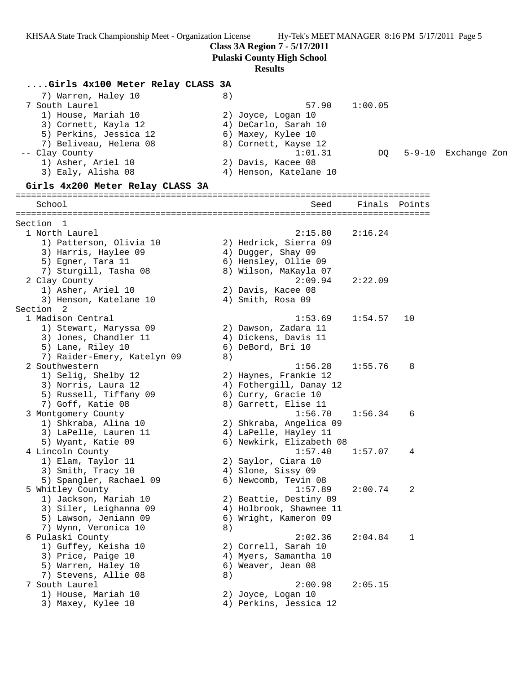**Class 3A Region 7 - 5/17/2011**

**Pulaski County High School**

#### **Results**

### **....Girls 4x100 Meter Relay CLASS 3A**

| 7) Warren, Haley 10    | 8)                     |         |                     |
|------------------------|------------------------|---------|---------------------|
| 7 South Laurel         | 57.90                  | 1:00.05 |                     |
| 1) House, Mariah 10    | 2) Joyce, Logan 10     |         |                     |
| 3) Cornett, Kayla 12   | 4) DeCarlo, Sarah 10   |         |                     |
| 5) Perkins, Jessica 12 | 6) Maxey, Kylee 10     |         |                     |
| 7) Beliveau, Helena 08 | 8) Cornett, Kayse 12   |         |                     |
| -- Clay County         | 1:01.31                | DO      | 5-9-10 Exchange Zon |
| 1) Asher, Ariel 10     | 2) Davis, Kacee 08     |         |                     |
| 3) Ealy, Alisha 08     | 4) Henson, Katelane 10 |         |                     |
|                        |                        |         |                     |

#### **Girls 4x200 Meter Relay CLASS 3A**

================================================================================ School Seed Finals Points ================================================================================ Section 1<br>1 North Laurel 1 North Laurel 2:15.80 2:16.24 1) Patterson, Olivia 10 2) Hedrick, Sierra 09 3) Harris, Haylee 09  $\hskip 1.5cm 4$ ) Dugger, Shay 09 5) Egner, Tara 11  $\qquad \qquad$  6) Hensley, Ollie 09 7) Sturgill, Tasha 08 8) Wilson, MaKayla 07 2 Clay County 2:09.94 2:22.09 1) Asher, Ariel 10 2) Davis, Kacee 08 3) Henson, Katelane 10 4) Smith, Rosa 09 Section 2<br>1 Madison Central 1 Madison Central 1:53.69 1:54.57 10 1) Stewart, Maryssa 09 2) Dawson, Zadara 11 3) Jones, Chandler 11 (4) Dickens, Davis 11 5) Lane, Riley 10 6) DeBord, Bri 10 7) Raider-Emery, Katelyn 09 8) 2 Southwestern 1:56.28 1:55.76 8 1) Selig, Shelby 12 2) Haynes, Frankie 12 3) Norris, Laura 12 4) Fothergill, Danay 12 5) Russell, Tiffany 09 6) Curry, Gracie 10 7) Goff, Katie 08 8) Garrett, Elise 11 3 Montgomery County 1:56.70 1:56.34 6 1) Shkraba, Alina 10 2) Shkraba, Angelica 09 3) LaPelle, Lauren 11 4) LaPelle, Hayley 11 5) Wyant, Katie 09 6) Newkirk, Elizabeth 08 4 Lincoln County 1:57.40 1:57.07 4 1) Elam, Taylor 11 2) Saylor, Ciara 10 3) Smith, Tracy 10 (4) Slone, Sissy 09 5) Spangler, Rachael 09 6) Newcomb, Tevin 08 5 Whitley County 1:57.89 2:00.74 2 1) Jackson, Mariah 10 2) Beattie, Destiny 09 3) Siler, Leighanna 09 4) Holbrook, Shawnee 11 5) Lawson, Jeniann 09 6) Wright, Kameron 09 7) Wynn, Veronica 10 8) 6 Pulaski County 2:02.36 2:04.84 1 1) Guffey, Keisha 10 2) Correll, Sarah 10 3) Price, Paige 10 4) Myers, Samantha 10 5) Warren, Haley 10 (6) Weaver, Jean 08 7) Stevens, Allie 08 8) 7 South Laurel 2:00.98 2:05.15 1) House, Mariah 10 2) Joyce, Logan 10 3) Maxey, Kylee 10 4) Perkins, Jessica 12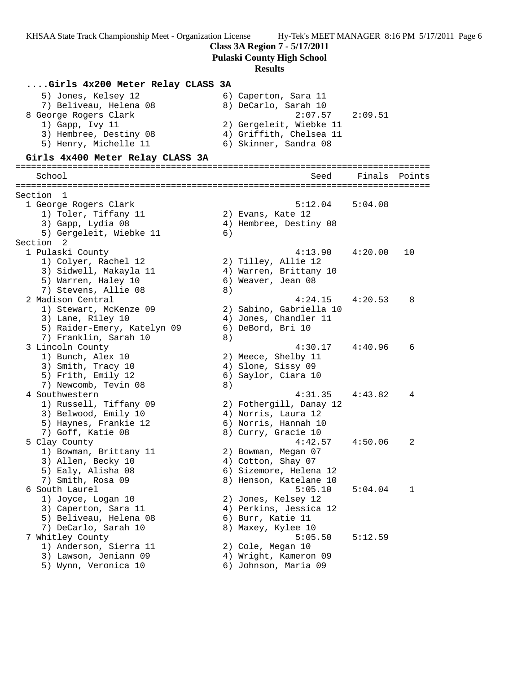**Class 3A Region 7 - 5/17/2011**

**Pulaski County High School**

# **Results**

| 8) DeCarlo, Sarah 10<br>7) Beliveau, Helena 08<br>8 George Rogers Clark<br>2:07.57<br>1) Gapp, Ivy 11<br>2) Gergeleit, Wiebke 11<br>3) Hembree, Destiny 08<br>4) Griffith, Chelsea 11<br>5) Henry, Michelle 11<br>6) Skinner, Sandra 08<br>Girls 4x400 Meter Relay CLASS 3A<br>School<br>Seed | 2:09.51<br>Finals | Points |
|-----------------------------------------------------------------------------------------------------------------------------------------------------------------------------------------------------------------------------------------------------------------------------------------------|-------------------|--------|
|                                                                                                                                                                                                                                                                                               |                   |        |
|                                                                                                                                                                                                                                                                                               |                   |        |
|                                                                                                                                                                                                                                                                                               |                   |        |
|                                                                                                                                                                                                                                                                                               |                   |        |
| Section 1                                                                                                                                                                                                                                                                                     |                   |        |
| $5:12.04$ $5:04.08$<br>1 George Rogers Clark                                                                                                                                                                                                                                                  |                   |        |
| 1) Toler, Tiffany 11<br>2) Evans, Kate 12                                                                                                                                                                                                                                                     |                   |        |
| 3) Gapp, Lydia 08<br>4) Hembree, Destiny 08                                                                                                                                                                                                                                                   |                   |        |
| 5) Gergeleit, Wiebke 11<br>6)                                                                                                                                                                                                                                                                 |                   |        |
| Section 2                                                                                                                                                                                                                                                                                     |                   |        |
| 1 Pulaski County<br>4:13.90                                                                                                                                                                                                                                                                   | 4:20.00           | 10     |
| 1) Colyer, Rachel 12<br>2) Tilley, Allie 12<br>3) Sidwell, Makayla 11<br>4) Warren, Brittany 10                                                                                                                                                                                               |                   |        |
| 5) Warren, Haley 10<br>6) Weaver, Jean 08                                                                                                                                                                                                                                                     |                   |        |
| 7) Stevens, Allie 08<br>8)                                                                                                                                                                                                                                                                    |                   |        |
| 2 Madison Central<br>4:24.15                                                                                                                                                                                                                                                                  | 4:20.53           | 8      |
| 1) Stewart, McKenze 09<br>2) Sabino, Gabriella 10                                                                                                                                                                                                                                             |                   |        |
| 4) Jones, Chandler 11<br>3) Lane, Riley 10                                                                                                                                                                                                                                                    |                   |        |
| 5) Raider-Emery, Katelyn 09<br>6) DeBord, Bri 10                                                                                                                                                                                                                                              |                   |        |
| 7) Franklin, Sarah 10<br>8)                                                                                                                                                                                                                                                                   |                   |        |
| 3 Lincoln County<br>4:30.17                                                                                                                                                                                                                                                                   | 4:40.96           | 6      |
| 1) Bunch, Alex 10<br>2) Meece, Shelby 11                                                                                                                                                                                                                                                      |                   |        |
| 3) Smith, Tracy 10<br>4) Slone, Sissy 09                                                                                                                                                                                                                                                      |                   |        |
| 5) Frith, Emily 12<br>6) Saylor, Ciara 10<br>7) Newcomb, Tevin 08<br>8)                                                                                                                                                                                                                       |                   |        |
| 4 Southwestern<br>4:31.35                                                                                                                                                                                                                                                                     | 4:43.82           | 4      |
| 1) Russell, Tiffany 09<br>2) Fothergill, Danay 12                                                                                                                                                                                                                                             |                   |        |
| 3) Belwood, Emily 10<br>4) Norris, Laura 12                                                                                                                                                                                                                                                   |                   |        |
| 5) Haynes, Frankie 12<br>6) Norris, Hannah 10                                                                                                                                                                                                                                                 |                   |        |
| 7) Goff, Katie 08<br>8) Curry, Gracie 10                                                                                                                                                                                                                                                      |                   |        |
| 5 Clay County<br>4:42.57                                                                                                                                                                                                                                                                      | 4:50.06           | 2      |
| 1) Bowman, Brittany 11<br>2) Bowman, Megan 07                                                                                                                                                                                                                                                 |                   |        |
| 3) Allen, Becky 10<br>4) Cotton, Shay 07                                                                                                                                                                                                                                                      |                   |        |
| 5) Ealy, Alisha 08<br>6) Sizemore, Helena 12                                                                                                                                                                                                                                                  |                   |        |
| 7) Smith, Rosa 09<br>8) Henson, Katelane 10                                                                                                                                                                                                                                                   |                   |        |
| 6 South Laurel<br>5:05.10                                                                                                                                                                                                                                                                     | 5:04.04           | 1      |
| 2) Jones, Kelsey 12<br>1) Joyce, Logan 10<br>3) Caperton, Sara 11                                                                                                                                                                                                                             |                   |        |
| 4) Perkins, Jessica 12<br>5) Beliveau, Helena 08<br>6) Burr, Katie 11                                                                                                                                                                                                                         |                   |        |
| 7) DeCarlo, Sarah 10<br>8) Maxey, Kylee 10                                                                                                                                                                                                                                                    |                   |        |
| 7 Whitley County<br>5:05.50                                                                                                                                                                                                                                                                   | 5:12.59           |        |
| 1) Anderson, Sierra 11<br>2) Cole, Megan 10                                                                                                                                                                                                                                                   |                   |        |
| 3) Lawson, Jeniann 09<br>4) Wright, Kameron 09                                                                                                                                                                                                                                                |                   |        |
| 5) Wynn, Veronica 10<br>6) Johnson, Maria 09                                                                                                                                                                                                                                                  |                   |        |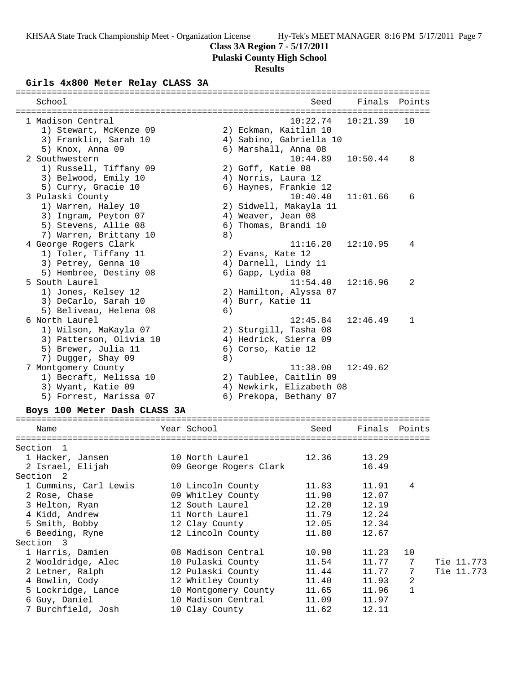## **Class 3A Region 7 - 5/17/2011**

**Pulaski County High School**

# **Results**

## **Girls 4x800 Meter Relay CLASS 3A**

| School                  |    | Seed                     | Finals Points |              |
|-------------------------|----|--------------------------|---------------|--------------|
|                         |    |                          |               |              |
| 1 Madison Central       |    | 10:22.74                 | 10:21.39      | 1 O          |
| 1) Stewart, McKenze 09  |    | 2) Eckman, Kaitlin 10    |               |              |
| 3) Franklin, Sarah 10   |    | 4) Sabino, Gabriella 10  |               |              |
| 5) Knox, Anna 09        |    | 6) Marshall, Anna 08     |               |              |
| 2 Southwestern          |    | 10:44.89                 | 10:50.44      | 8            |
| 1) Russell, Tiffany 09  |    | 2) Goff, Katie 08        |               |              |
| 3) Belwood, Emily 10    |    | 4) Norris, Laura 12      |               |              |
| 5) Curry, Gracie 10     |    | 6) Haynes, Frankie 12    |               |              |
| 3 Pulaski County        |    | 10:40.40                 | 11:01.66      | 6            |
| 1) Warren, Haley 10     |    | 2) Sidwell, Makayla 11   |               |              |
| 3) Ingram, Peyton 07    |    | 4) Weaver, Jean 08       |               |              |
| 5) Stevens, Allie 08    |    | 6) Thomas, Brandi 10     |               |              |
| 7) Warren, Brittany 10  | 8) |                          |               |              |
| 4 George Rogers Clark   |    | 11:16.20                 | 12:10.95      | 4            |
| 1) Toler, Tiffany 11    |    | 2) Evans, Kate 12        |               |              |
| 3) Petrey, Genna 10     |    | 4) Darnell, Lindy 11     |               |              |
| 5) Hembree, Destiny 08  |    | 6) Gapp, Lydia 08        |               |              |
| 5 South Laurel          |    | 11:54.40                 | 12:16.96      | 2            |
| 1) Jones, Kelsey 12     |    | 2) Hamilton, Alyssa 07   |               |              |
| 3) DeCarlo, Sarah 10    |    | 4) Burr, Katie 11        |               |              |
| 5) Beliveau, Helena 08  | 6) |                          |               |              |
| 6 North Laurel          |    | 12:45.84                 | 12:46.49      | $\mathbf{1}$ |
| 1) Wilson, MaKayla 07   |    | 2) Sturgill, Tasha 08    |               |              |
| 3) Patterson, Olivia 10 |    | 4) Hedrick, Sierra 09    |               |              |
| 5) Brewer, Julia 11     |    | 6) Corso, Katie 12       |               |              |
| 7) Dugger, Shay 09      | 8) |                          |               |              |
| 7 Montgomery County     |    | 11:38.00                 | 12:49.62      |              |
| 1) Becraft, Melissa 10  |    | 2) Taublee, Caitlin 09   |               |              |
| 3) Wyant, Katie 09      |    | 4) Newkirk, Elizabeth 08 |               |              |
| 5) Forrest, Marissa 07  |    | 6) Prekopa, Bethany 07   |               |              |
|                         |    |                          |               |              |

## **Boys 100 Meter Dash CLASS 3A**

| Name                                                      | Year School <b>Super</b>    | Seed  | Finals Points |                 |            |
|-----------------------------------------------------------|-----------------------------|-------|---------------|-----------------|------------|
| =====================<br>Section <sub>1</sub>             |                             |       |               |                 |            |
| 1 Hacker, Jansen                                          | 10 North Laurel 12.36 13.29 |       |               |                 |            |
| 2 Israel, Elijah                                          | 09 George Rogers Clark      |       | 16.49         |                 |            |
| Section 2                                                 |                             |       |               |                 |            |
| 1 Cummins, Carl Lewis                                     | 10 Lincoln County           | 11.83 | 11.91 4       |                 |            |
| 2 Rose, Chase                                             | 09 Whitley County           | 11.90 | 12.07         |                 |            |
| 3 Helton, Ryan                                            | 12 South Laurel             | 12.20 | 12.19         |                 |            |
|                                                           |                             |       | 11.79 12.24   |                 |            |
|                                                           |                             |       | 12.05 12.34   |                 |            |
| 6 Beeding, Ryne                                           | 12 Lincoln County           | 11.80 | 12.67         |                 |            |
| Section 3                                                 |                             |       |               |                 |            |
| 1 Harris, Damien                                          | 08 Madison Central          |       | 10.90 11.23   | 10              |            |
|                                                           |                             |       | 11.54 11.77   | $7\overline{ }$ | Tie 11.773 |
| 2 Letner, Ralph                         12 Pulaski County |                             | 11.44 | 11.77         | 7               | Tie 11.773 |
|                                                           |                             | 11.40 | 11.93         | 2               |            |
| 5 Lockridge, Lance                 10 Montgomery County   |                             |       | 11.65 11.96   | $\mathbf{1}$    |            |
|                                                           |                             |       | 11.09 11.97   |                 |            |
| 7 Burchfield, Josh                                        | 10 Clay County              | 11.62 | 12.11         |                 |            |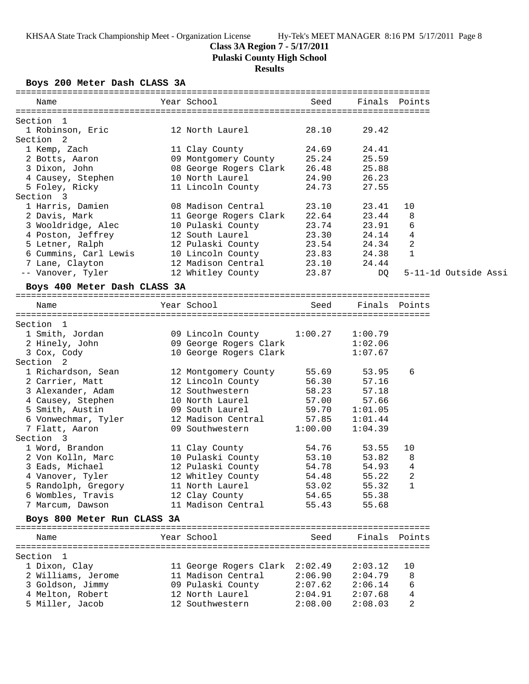## **Class 3A Region 7 - 5/17/2011**

**Pulaski County High School**

## **Results**

**Boys 200 Meter Dash CLASS 3A**

| Name                  | Year School            | Seed  | Finals Points |                      |
|-----------------------|------------------------|-------|---------------|----------------------|
| Section <sub>1</sub>  |                        |       |               |                      |
| 1 Robinson, Eric      | 12 North Laurel        | 28.10 | 29.42         |                      |
| Section 2             |                        |       |               |                      |
| 1 Kemp, Zach          | 11 Clay County         | 24.69 | 24.41         |                      |
| 2 Botts, Aaron        | 09 Montgomery County   | 25.24 | 25.59         |                      |
| 3 Dixon, John         | 08 George Rogers Clark | 26.48 | 25.88         |                      |
| 4 Causey, Stephen     | 10 North Laurel        | 24.90 | 26.23         |                      |
| 5 Foley, Ricky        | 11 Lincoln County      | 24.73 | 27.55         |                      |
| Section 3             |                        |       |               |                      |
| 1 Harris, Damien      | 08 Madison Central     | 23.10 | 23.41         | 10                   |
| 2 Davis, Mark         | 11 George Rogers Clark | 22.64 | 23.44         | 8                    |
| 3 Wooldridge, Alec    | 10 Pulaski County      | 23.74 | 23.91         | 6                    |
| 4 Poston, Jeffrey     | 12 South Laurel        | 23.30 | 24.14         | 4                    |
| 5 Letner, Ralph       | 12 Pulaski County      | 23.54 | 24.34         | $\overline{2}$       |
| 6 Cummins, Carl Lewis | 10 Lincoln County      | 23.83 | 24.38         | $\mathbf{1}$         |
| 7 Lane, Clayton       | 12 Madison Central     | 23.10 | 24.44         |                      |
| -- Vanover, Tyler     | 12 Whitley County      | 23.87 | DO            | 5-11-1d Outside Assi |

#### **Boys 400 Meter Dash CLASS 3A**

================================================================================ Name Year School Seed Finals Points

| Section <sub>1</sub>        |                                   |         |               |                |
|-----------------------------|-----------------------------------|---------|---------------|----------------|
| 1 Smith, Jordan             | 09 Lincoln County 1:00.27 1:00.79 |         |               |                |
| 2 Hinely, John              | 09 George Rogers Clark            |         | 1:02.06       |                |
| 3 Cox, Cody                 | 10 George Rogers Clark            |         | 1:07.67       |                |
| Section 2                   |                                   |         |               |                |
| 1 Richardson, Sean          | 12 Montgomery County 55.69 53.95  |         |               | 6              |
| 2 Carrier, Matt             | 12 Lincoln County 56.30 57.16     |         |               |                |
| 3 Alexander, Adam           | 12 Southwestern                   |         | 58.23 57.18   |                |
| 4 Causey, Stephen           | 10 North Laurel 57.00 57.66       |         |               |                |
| 5 Smith, Austin             | 09 South Laurel 59.70 1:01.05     |         |               |                |
| 6 Vonwechmar, Tyler         | 12 Madison Central 57.85 1:01.44  |         |               |                |
| 7 Flatt, Aaron              | 09 Southwestern                   | 1:00.00 | 1:04.39       |                |
| Section 3                   |                                   |         |               |                |
| 1 Word, Brandon             | 11 Clay County                    |         | 54.76 53.55   | 10             |
| 2 Von Kolln, Marc           | 10 Pulaski County                 |         | 53.10 53.82   | 8              |
| 3 Eads, Michael             | 12 Pulaski County                 |         | 54.78 54.93   | $\overline{4}$ |
| 4 Vanover, Tyler            | 12 Whitley County                 |         | 54.48 55.22   | $\overline{a}$ |
| 5 Randolph, Gregory         | 11 North Laurel                   |         | 53.02 55.32   | $\mathbf{1}$   |
| 6 Wombles, Travis           | 12 Clay County 54.65 55.38        |         |               |                |
| 7 Marcum, Dawson            | 11 Madison Central                |         | 55.43 55.68   |                |
| Boys 800 Meter Run CLASS 3A |                                   |         |               |                |
|                             |                                   |         |               |                |
| Name                        | Year School <b>Sand</b>           | Seed    | Finals Points |                |
|                             |                                   |         |               |                |
| Section 1                   |                                   |         |               |                |

| 1 Dixon, Clay      | 11 George Rogers Clark 2:02.49 |         | 2:03.12 | 10       |
|--------------------|--------------------------------|---------|---------|----------|
| 2 Williams, Jerome | 11 Madison Central             | 2:06.90 | 2:04.79 | <b>R</b> |
| 3 Goldson, Jimmy   | 09 Pulaski County              | 2:07.62 | 2:06.14 | -6       |
| 4 Melton, Robert   | 12 North Laurel                | 2:04.91 | 2:07.68 | 4        |
| 5 Miller, Jacob    | 12 Southwestern                | 2:08.00 | 2:08.03 | 2        |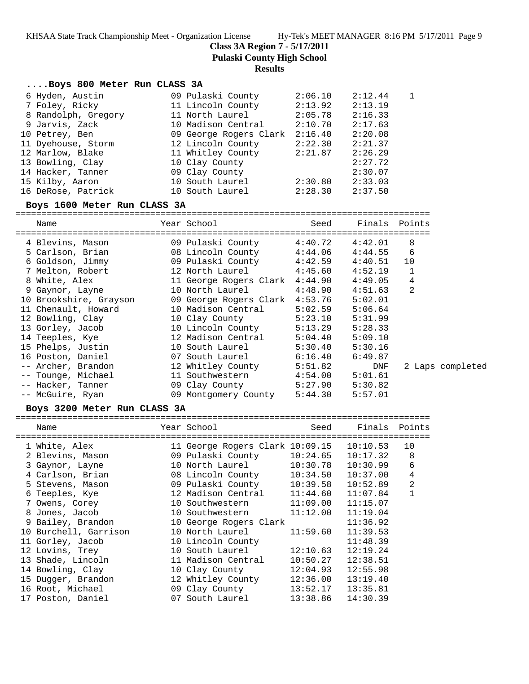**Class 3A Region 7 - 5/17/2011**

**Pulaski County High School**

#### **Results**

### **....Boys 800 Meter Run CLASS 3A**

| 6 Hyden, Austin     | 09 Pulaski County      | 2:06.10 | 2:12.44 |  |
|---------------------|------------------------|---------|---------|--|
| 7 Foley, Ricky      | 11 Lincoln County      | 2:13.92 | 2:13.19 |  |
| 8 Randolph, Gregory | 11 North Laurel        | 2:05.78 | 2:16.33 |  |
| 9 Jarvis, Zack      | 10 Madison Central     | 2:10.70 | 2:17.63 |  |
| 10 Petrey, Ben      | 09 George Rogers Clark | 2:16.40 | 2:20.08 |  |
| 11 Dyehouse, Storm  | 12 Lincoln County      | 2:22.30 | 2:21.37 |  |
| 12 Marlow, Blake    | 11 Whitley County      | 2:21.87 | 2:26.29 |  |
| 13 Bowling, Clay    | 10 Clay County         |         | 2:27.72 |  |
| 14 Hacker, Tanner   | 09 Clay County         |         | 2:30.07 |  |
| 15 Kilby, Aaron     | 10 South Laurel        | 2:30.80 | 2:33.03 |  |
| 16 DeRose, Patrick  | 10 South Laurel        | 2:28.30 | 2:37.50 |  |
|                     |                        |         |         |  |

### **Boys 1600 Meter Run CLASS 3A**

================================================================================ Name Year School Seed Finals Points ================================================================================ 4 Blevins, Mason 09 Pulaski County 4:40.72 4:42.01 8 5 Carlson, Brian 08 Lincoln County 4:44.06 4:44.55 6 6 Goldson, Jimmy 09 Pulaski County 4:42.59 4:40.51 10 7 Melton, Robert 12 North Laurel 4:45.60 4:52.19 1 8 White, Alex 11 George Rogers Clark 4:44.90 4:49.05 4 9 Gaynor, Layne 10 North Laurel 4:48.90 4:51.63 2 10 Brookshire, Grayson 09 George Rogers Clark 4:53.76 5:02.01 11 Chenault, Howard 10 Madison Central 5:02.59 5:06.64 12 Bowling, Clay 10 Clay County 5:23.10 5:31.99 13 Gorley, Jacob 10 Lincoln County 5:13.29 5:28.33 14 Teeples, Kye 12 Madison Central 5:04.40 5:09.10 15 Phelps, Justin 10 South Laurel 5:30.40 5:30.16 16 Poston, Daniel 07 South Laurel 6:16.40 6:49.87 -- Archer, Brandon 12 Whitley County 5:51.82 DNF 2 Laps completed -- Tounge, Michael 11 Southwestern 4:54.00 5:01.61 -- Hacker, Tanner 09 Clay County 5:27.90 5:30.82 -- McGuire, Ryan 09 Montgomery County 5:44.30 5:57.01

================================================================================

### **Boys 3200 Meter Run CLASS 3A**

| Name                  | Year School                     | Seed     | Finals Points |    |
|-----------------------|---------------------------------|----------|---------------|----|
| 1 White, Alex         | 11 George Rogers Clark 10:09.15 |          | 10:10.53      | 10 |
| 2 Blevins, Mason      | 09 Pulaski County               | 10:24.65 | 10:17.32      | 8  |
| 3 Gaynor, Layne       | 10 North Laurel                 | 10:30.78 | 10:30.99      | 6  |
| 4 Carlson, Brian      | 08 Lincoln County               | 10:34.50 | 10:37.00      | 4  |
| 5 Stevens, Mason      | 09 Pulaski County               | 10:39.58 | 10:52.89      | 2  |
| 6 Teeples, Kye        | 12 Madison Central              | 11:44.60 | 11:07.84      | 1  |
| 7 Owens, Corey        | 10 Southwestern                 | 11:09.00 | 11:15.07      |    |
| 8 Jones, Jacob        | 10 Southwestern                 | 11:12.00 | 11:19.04      |    |
| 9 Bailey, Brandon     | 10 George Rogers Clark          |          | 11:36.92      |    |
| 10 Burchell, Garrison | 10 North Laurel                 | 11:59.60 | 11:39.53      |    |
| 11 Gorley, Jacob      | 10 Lincoln County               |          | 11:48.39      |    |
| 12 Lovins, Trey       | 10 South Laurel                 | 12:10.63 | 12:19.24      |    |
| 13 Shade, Lincoln     | 11 Madison Central              | 10:50.27 | 12:38.51      |    |
| 14 Bowling, Clay      | 10 Clay County                  | 12:04.93 | 12:55.98      |    |
| 15 Dugger, Brandon    | 12 Whitley County               | 12:36.00 | 13:19.40      |    |
| 16 Root, Michael      | 09 Clay County                  | 13:52.17 | 13:35.81      |    |
| 17 Poston, Daniel     | 07 South Laurel                 | 13:38.86 | 14:30.39      |    |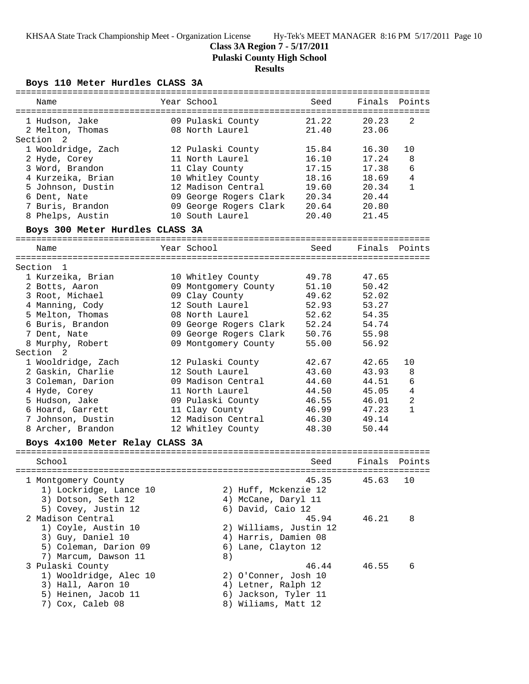## **Class 3A Region 7 - 5/17/2011**

**Pulaski County High School**

# **Results**

**Boys 110 Meter Hurdles CLASS 3A**

| Name                            | Year School                                                  | Seed        |             | Finals Points  |
|---------------------------------|--------------------------------------------------------------|-------------|-------------|----------------|
| 1 Hudson, Jake                  | 09 Pulaski County                                            |             | 21.22 20.23 | 2              |
| 2 Melton, Thomas                | 08 North Laurel                                              | 21.40       | 23.06       |                |
| Section<br>2                    |                                                              |             |             |                |
| 1 Wooldridge, Zach              | 12 Pulaski County                                            | 15.84       | 16.30       | 10             |
| 2 Hyde, Corey                   | 11 North Laurel                                              | 16.10       | 17.24       | 8              |
| 3 Word, Brandon                 | 11 Clay County                                               | 17.15       | 17.38       | 6              |
| 4 Kurzeika, Brian               | 10 Whitley County                                            | 18.16       | 18.69       | $\overline{4}$ |
| 5 Johnson, Dustin               | 12 Madison Central                                           | 19.60       | 20.34       | 1              |
| 6 Dent, Nate                    | 09 George Rogers Clark 20.34                                 |             | 20.44       |                |
| 7 Buris, Brandon                |                                                              |             | 20.80       |                |
| 8 Phelps, Austin                | 09 George Rogers Clark 20.64<br>10 South Laurel              | 20.40 21.45 |             |                |
| Boys 300 Meter Hurdles CLASS 3A |                                                              |             |             |                |
|                                 |                                                              |             |             |                |
| Name                            | Year School                                                  | Seed        | Finals      | Points         |
| Section 1                       |                                                              |             |             |                |
| 1 Kurzeika, Brian               | 10 Whitley County                                            | 49.78       | 47.65       |                |
| 2 Botts, Aaron                  | 09 Montgomery County                                         | 51.10       | 50.42       |                |
| 3 Root, Michael                 | 09 Clay County                                               | 49.62       | 52.02       |                |
| 4 Manning, Cody                 | 12 South Laurel                                              | 52.93       | 53.27       |                |
| 5 Melton, Thomas                | 08 North Laurel                                              | 52.62       | 54.35       |                |
| 6 Buris, Brandon                |                                                              |             | 54.74       |                |
| 7 Dent, Nate                    | 09 George Rogers Clark 52.24<br>09 George Rogers Clark 50.76 |             | 55.98       |                |
| 8 Murphy, Robert                | 09 Montgomery County                                         | 55.00       | 56.92       |                |
| Section 2                       |                                                              |             |             |                |
| 1 Wooldridge, Zach              | 12 Pulaski County                                            | 42.67       | 42.65       | 10             |
| 2 Gaskin, Charlie               | 12 South Laurel                                              | 43.60       | 43.93       | 8              |
| 3 Coleman, Darion               | 09 Madison Central                                           | 44.60       | 44.51       | $\epsilon$     |
| 4 Hyde, Corey                   | 11 North Laurel                                              | 44.50       | 45.05       | $\overline{4}$ |
| 5 Hudson, Jake                  | 09 Pulaski County                                            | 46.55       | 46.01       | $\overline{2}$ |
| 6 Hoard, Garrett                | 11 Clay County                                               | 46.99       | 47.23       | $\mathbf{1}$   |
| 7 Johnson, Dustin               | 12 Madison Central                                           | 46.30       | 49.14       |                |
| 8 Archer, Brandon               | 12 Whitley County                                            | 48.30       | 50.44       |                |
|                                 |                                                              |             |             |                |
| Boys 4x100 Meter Relay CLASS 3A |                                                              |             |             |                |
| School                          |                                                              | Seed        |             | Finals Points  |
|                                 |                                                              |             |             |                |
| 1 Montgomery County             |                                                              | 45.35       | 45.63       | 10             |
| 1) Lockridge, Lance 10          | 2) Huff, Mckenzie 12                                         |             |             |                |
| 3) Dotson, Seth 12              | 4) McCane, Daryl 11                                          |             |             |                |
| 5) Covey, Justin 12             | 6) David, Caio 12                                            |             |             |                |
| 2 Madison Central               |                                                              | 45.94       | 46.21       | 8              |
| 1) Coyle, Austin 10             | 2) Williams, Justin 12                                       |             |             |                |
| 3) Guy, Daniel 10               | 4) Harris, Damien 08                                         |             |             |                |
| 5) Coleman, Darion 09           | 6) Lane, Clayton 12                                          |             |             |                |
| 7) Marcum, Dawson 11            | 8)                                                           |             |             |                |
| 3 Pulaski County                |                                                              | 46.44       | 46.55       | 6              |
| 1) Wooldridge, Alec 10          | 2) O'Conner, Josh 10                                         |             |             |                |
| 3) Hall, Aaron 10               | 4) Letner, Ralph 12                                          |             |             |                |
| 5) Heinen, Jacob 11             | 6) Jackson, Tyler 11                                         |             |             |                |
| 7) Cox, Caleb 08                | 8) Wiliams, Matt 12                                          |             |             |                |
|                                 |                                                              |             |             |                |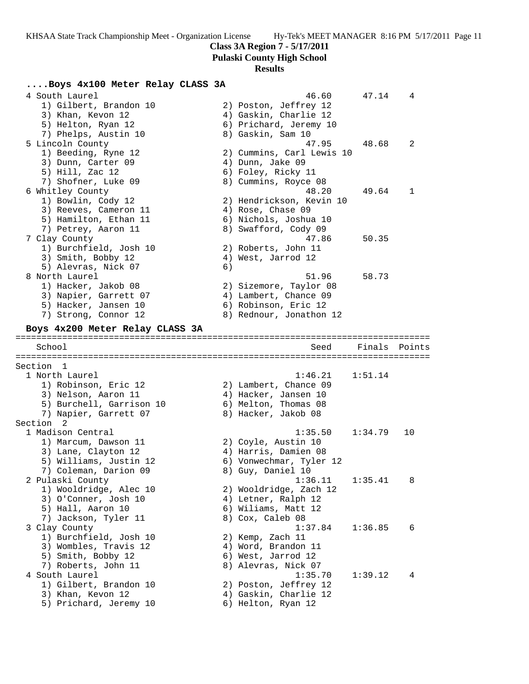**Class 3A Region 7 - 5/17/2011**

**Pulaski County High School**

# **Results**

## **....Boys 4x100 Meter Relay CLASS 3A**

| 4 South Laurel                  | 1) Gilbert, Brandon 10<br>3) Khan, Kevon 12<br>5) Helton, Ryan 12<br>7) Phelps, Austin 10                            |    | 46.60<br>2) Poston, Jeffrey 12<br>4) Gaskin, Charlie 12<br>6) Prichard, Jeremy 10<br>8) Gaskin, Sam 10              | 47.14          | 4      |
|---------------------------------|----------------------------------------------------------------------------------------------------------------------|----|---------------------------------------------------------------------------------------------------------------------|----------------|--------|
| 5 Lincoln County                | 1) Beeding, Ryne 12<br>3) Dunn, Carter 09<br>5) Hill, Zac 12<br>7) Shofner, Luke 09                                  |    | 47.95<br>2) Cummins, Carl Lewis 10<br>4) Dunn, Jake 09<br>6) Foley, Ricky 11<br>8) Cummins, Royce 08                | 48.68          | 2      |
| 6 Whitley County                | 1) Bowlin, Cody 12<br>3) Reeves, Cameron 11<br>5) Hamilton, Ethan 11<br>7) Petrey, Aaron 11                          |    | 48.20<br>2) Hendrickson, Kevin 10<br>4) Rose, Chase 09<br>6) Nichols, Joshua 10<br>8) Swafford, Cody 09             | 49.64          | 1      |
| 7 Clay County<br>8 North Laurel | 1) Burchfield, Josh 10<br>3) Smith, Bobby 12<br>5) Alevras, Nick 07                                                  | 6) | 47.86<br>2) Roberts, John 11<br>4) West, Jarrod 12<br>51.96                                                         | 50.35<br>58.73 |        |
|                                 | 1) Hacker, Jakob 08<br>3) Napier, Garrett 07<br>5) Hacker, Jansen 10<br>7) Strong, Connor 12                         |    | 2) Sizemore, Taylor 08<br>4) Lambert, Chance 09<br>6) Robinson, Eric 12<br>8) Rednour, Jonathon 12                  |                |        |
|                                 | Boys 4x200 Meter Relay CLASS 3A                                                                                      |    |                                                                                                                     |                |        |
| School                          |                                                                                                                      |    | Seed                                                                                                                | Finals         | Points |
| Section 1                       |                                                                                                                      |    |                                                                                                                     |                |        |
| 1 North Laurel                  | 1) Robinson, Eric 12                                                                                                 |    | 1:46.21<br>2) Lambert, Chance 09                                                                                    | 1:51.14        |        |
|                                 | 3) Nelson, Aaron 11<br>5) Burchell, Garrison 10<br>7) Napier, Garrett 07                                             |    | 4) Hacker, Jansen 10<br>6) Melton, Thomas 08<br>8) Hacker, Jakob 08                                                 |                |        |
| Section <sub>2</sub>            |                                                                                                                      |    |                                                                                                                     |                |        |
| 1 Madison Central               | 1) Marcum, Dawson 11<br>3) Lane, Clayton 12<br>5) Williams, Justin 12<br>7) Coleman, Darion 09                       |    | 1:35.50<br>2) Coyle, Austin 10<br>4) Harris, Damien 08<br>6) Vonwechmar, Tyler 12<br>8) Guy, Daniel 10              | 1:34.79        | 10     |
| 2 Pulaski County                | 1) Wooldridge, Alec 10<br>3) O'Conner, Josh 10                                                                       |    | 1:36.11<br>2) Wooldridge, Zach 12<br>4) Letner, Ralph 12<br>6) Wiliams, Matt 12                                     | 1:35.41        | 8      |
|                                 | 5) Hall, Aaron 10                                                                                                    |    |                                                                                                                     |                |        |
| 3 Clay County                   | 7) Jackson, Tyler 11<br>1) Burchfield, Josh 10<br>3) Wombles, Travis 12<br>5) Smith, Bobby 12<br>7) Roberts, John 11 |    | 8) Cox, Caleb 08<br>1:37.84<br>2) Kemp, Zach 11<br>4) Word, Brandon 11<br>6) West, Jarrod 12<br>8) Alevras, Nick 07 | 1:36.85        | 6      |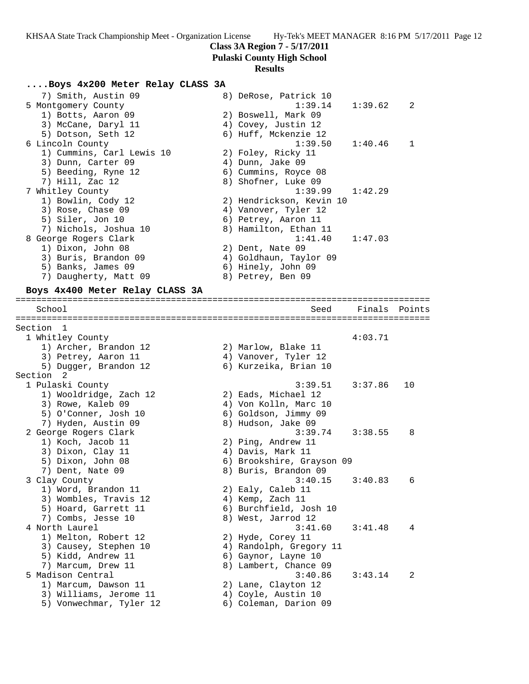**Class 3A Region 7 - 5/17/2011**

**Pulaski County High School**

#### **Results**

### **....Boys 4x200 Meter Relay CLASS 3A**

| 7) Smith, Austin 09       | 8) DeRose, Patrick 10    |                |
|---------------------------|--------------------------|----------------|
| 5 Montgomery County       | $1:39.14$ $1:39.62$ 2    |                |
| 1) Botts, Aaron 09        | 2) Boswell, Mark 09      |                |
| 3) McCane, Daryl 11       | 4) Covey, Justin 12      |                |
| 5) Dotson, Seth 12        | 6) Huff, Mckenzie 12     |                |
| 6 Lincoln County          | $1:39.50$ $1:40.46$      | $\overline{1}$ |
| 1) Cummins, Carl Lewis 10 | 2) Foley, Ricky 11       |                |
| 3) Dunn, Carter 09        | 4) Dunn, Jake 09         |                |
| 5) Beeding, Ryne 12       | 6) Cummins, Royce 08     |                |
| 7) Hill, Zac 12           | 8) Shofner, Luke 09      |                |
| 7 Whitley County          | $1:39.99$ $1:42.29$      |                |
| 1) Bowlin, Cody 12        | 2) Hendrickson, Kevin 10 |                |
| 3) Rose, Chase 09         | 4) Vanover, Tyler 12     |                |
| 5) Siler, Jon 10          | 6) Petrey, Aaron 11      |                |
| 7) Nichols, Joshua 10     | 8) Hamilton, Ethan 11    |                |
| 8 George Rogers Clark     | $1:41.40$ $1:47.03$      |                |
| 1) Dixon, John 08         | 2) Dent, Nate 09         |                |
| 3) Buris, Brandon 09      | 4) Goldhaun, Taylor 09   |                |
| 5) Banks, James 09        | 6) Hinely, John 09       |                |
| 7) Daugherty, Matt 09     | 8) Petrey, Ben 09        |                |
|                           |                          |                |

### **Boys 4x400 Meter Relay CLASS 3A**

================================================================================ School Seed Finals Points ================================================================================ Section 1 1 Whitley County 4:03.71 1) Archer, Brandon 12 2) Marlow, Blake 11 3) Petrey, Aaron 11 (4) Vanover, Tyler 12 5) Dugger, Brandon 12 6) Kurzeika, Brian 10 Section 2 1 Pulaski County 3:39.51 3:37.86 10 1) Wooldridge, Zach 12 2) Eads, Michael 12 3) Rowe, Kaleb 09 4) Von Kolln, Marc 10 5) O'Conner, Josh 10 6) Goldson, Jimmy 09 7) Hyden, Austin 09 8) Hudson, Jake 09 2 George Rogers Clark 3:39.74 3:38.55 8 1) Koch, Jacob 11 2) Ping, Andrew 11 3) Dixon, Clay 11 4) Davis, Mark 11 5) Dixon, John 08 6) Brookshire, Grayson 09 7) Dent, Nate 09 8) Buris, Brandon 09 3 Clay County 3:40.15 3:40.83 6 1) Word, Brandon 11 2) Ealy, Caleb 11 3) Wombles, Travis 12 (4) Kemp, Zach 11 5) Hoard, Garrett 11 6) Burchfield, Josh 10 7) Combs, Jesse 10 8) West, Jarrod 12 4 North Laurel 3:41.60 3:41.48 4 1) Melton, Robert 12 2) Hyde, Corey 11 3) Causey, Stephen 10 4) Randolph, Gregory 11 5) Kidd, Andrew 11 6) Gaynor, Layne 10 7) Marcum, Drew 11 8) Lambert, Chance 09 5 Madison Central 3:40.86 3:43.14 2 1) Marcum, Dawson 11 2) Lane, Clayton 12 3) Williams, Jerome 11  $\qquad \qquad$  4) Coyle, Austin 10 5) Vonwechmar, Tyler 12 6) Coleman, Darion 09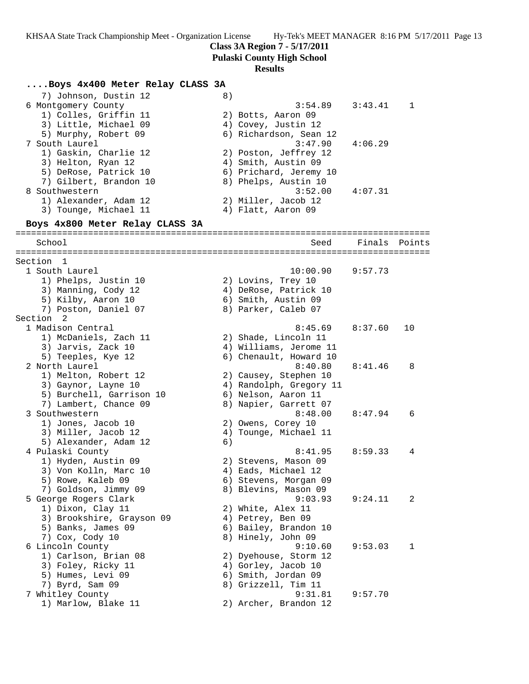**Class 3A Region 7 - 5/17/2011**

**Pulaski County High School**

#### **Results**

### **....Boys 4x400 Meter Relay CLASS 3A**

7) Johnson, Dustin 12 (8)<br>6 Montgomery County 6 Montgomery County 3:54.89 3:43.41 1 1) Colles, Griffin 11 2) Botts, Aaron 09 3) Little, Michael 09 4) Covey, Justin 12 5) Murphy, Robert 09 6) Richardson, Sean 12 7 South Laurel 3:47.90 4:06.29 1) Gaskin, Charlie 12 2) Poston, Jeffrey 12 3) Helton, Ryan 12 (4) Smith, Austin 09 5) DeRose, Patrick 10 6) Prichard, Jeremy 10 7) Gilbert, Brandon 10 8) Phelps, Austin 10 8 Southwestern 3:52.00 4:07.31 1) Alexander, Adam 12 2) Miller, Jacob 12 3) Tounge, Michael 11 (4) Flatt, Aaron 09 **Boys 4x800 Meter Relay CLASS 3A** ================================================================================ School Seed Finals Points ================================================================================ Section 1 1 South Laurel 10:00.90 9:57.73 1) Phelps, Justin 10 2) Lovins, Trey 10 3) Manning, Cody 12 4) DeRose, Patrick 10 5) Kilby, Aaron 10 6) Smith, Austin 09 7) Poston, Daniel 07 (8) Parker, Caleb 07 Section 2 1 Madison Central 8:45.69 8:37.60 10 1) McDaniels, Zach 11 2) Shade, Lincoln 11 3) Jarvis, Zack 10 4) Williams, Jerome 11 5) Teeples, Kye 12 6) Chenault, Howard 10 2 North Laurel 8:40.80 8:41.46 8 1) Melton, Robert 12 2) Causey, Stephen 10 3) Gaynor, Layne 10 4) Randolph, Gregory 11 5) Burchell, Garrison 10 (6) Nelson, Aaron 11 7) Lambert, Chance 09 8) Napier, Garrett 07 3 Southwestern 8:48.00 8:47.94 6 1) Jones, Jacob 10 2) Owens, Corey 10 3) Miller, Jacob 12 4) Tounge, Michael 11 5) Alexander, Adam 12 (6) 4 Pulaski County 8:41.95 8:59.33 4 1) Hyden, Austin 09 2) Stevens, Mason 09 3) Von Kolln, Marc 10 4) Eads, Michael 12 5) Rowe, Kaleb 09 6) Stevens, Morgan 09 7) Goldson, Jimmy 09 8) Blevins, Mason 09 5 George Rogers Clark 9:03.93 9:24.11 2 1) Dixon, Clay 11 2) White, Alex 11 3) Brookshire, Grayson 09 (4) Petrey, Ben 09 5) Banks, James 09 6) Bailey, Brandon 10 7) Cox, Cody 10 8) Hinely, John 09 6 Lincoln County 9:10.60 9:53.03 1 1) Carlson, Brian 08 2) Dyehouse, Storm 12 3) Foley, Ricky 11 (4) Gorley, Jacob 10 5) Humes, Levi 09 6) Smith, Jordan 09 7) Byrd, Sam 09 8) Grizzell, Tim 11 7 Whitley County 9:31.81 9:57.70 1) Marlow, Blake 11 2) Archer, Brandon 12